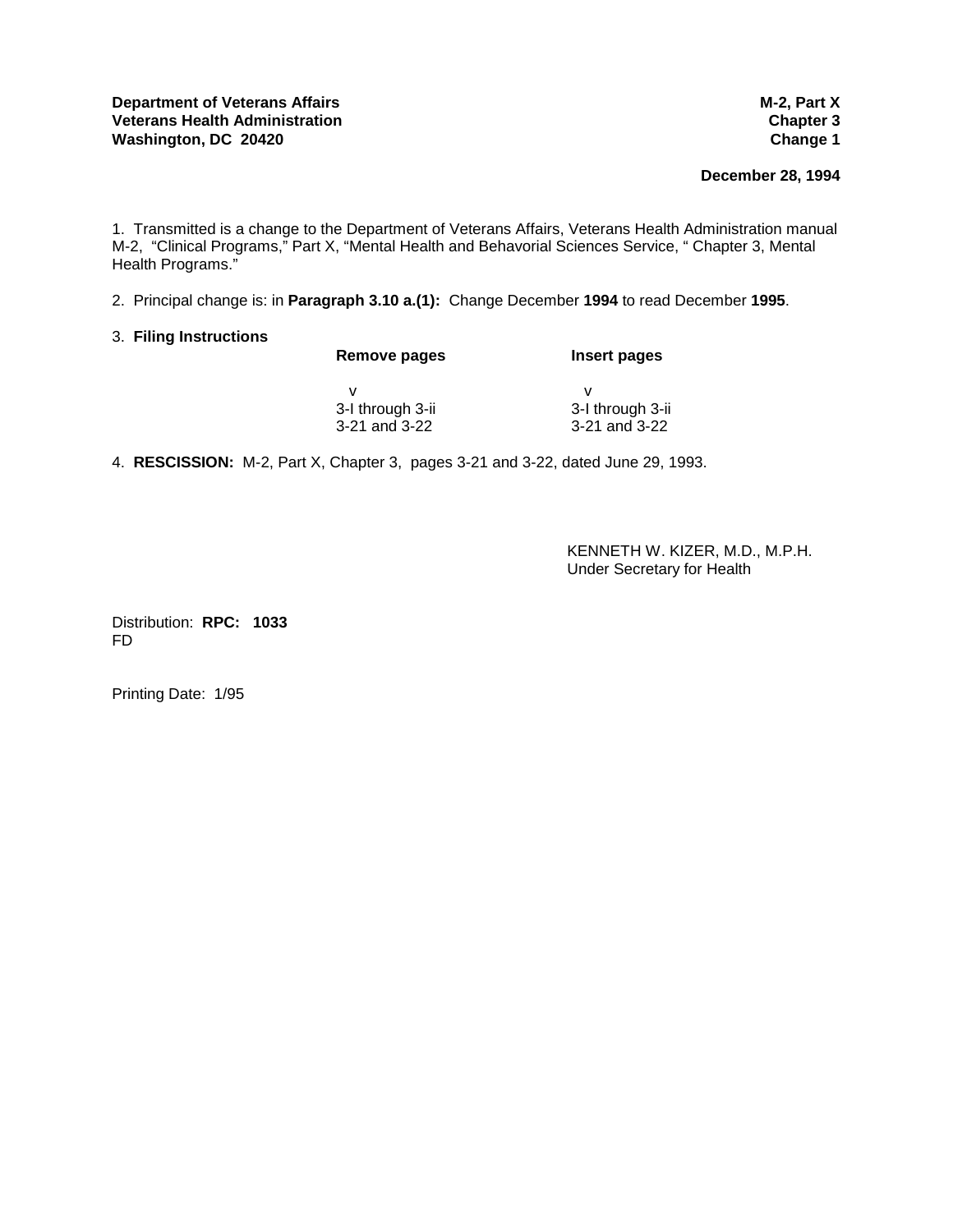**December 28, 1994** 

1. Transmitted is a change to the Department of Veterans Affairs, Veterans Health Administration manual M-2, "Clinical Programs," Part X, "Mental Health and Behavorial Sciences Service, " Chapter 3, Mental Health Programs."

2. Principal change is: in **Paragraph 3.10 a.(1):** Change December **1994** to read December **1995**.

# 3. **Filing Instructions**

| Remove pages     | Insert pages     |
|------------------|------------------|
|                  |                  |
| 3-I through 3-ii | 3-I through 3-ii |
| 3-21 and 3-22    | 3-21 and 3-22    |

4. **RESCISSION:** M-2, Part X, Chapter 3, pages 3-21 and 3-22, dated June 29, 1993.

 KENNETH W. KIZER, M.D., M.P.H. Under Secretary for Health

Distribution: **RPC: 1033** FD

Printing Date: 1/95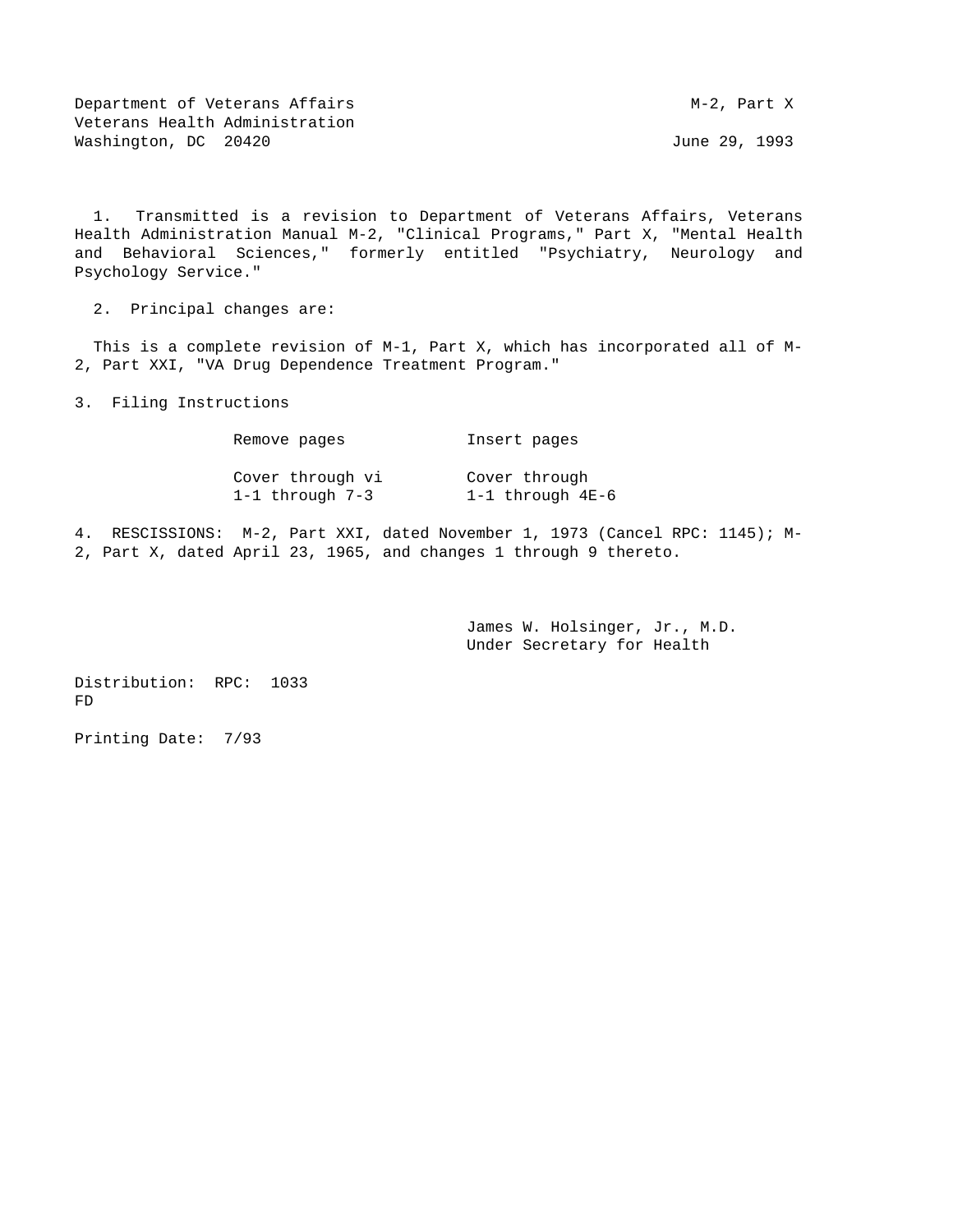Department of Veterans Affairs Manuscript Communication of Veterans Affairs Manuscript V Veterans Health Administration Washington, DC 20420 **June 29, 1993** 

 1. Transmitted is a revision to Department of Veterans Affairs, Veterans Health Administration Manual M-2, "Clinical Programs," Part X, "Mental Health and Behavioral Sciences," formerly entitled "Psychiatry, Neurology and Psychology Service."

2. Principal changes are:

 This is a complete revision of M-1, Part X, which has incorporated all of M-2, Part XXI, "VA Drug Dependence Treatment Program."

3. Filing Instructions

| Remove pages     | Insert pages     |
|------------------|------------------|
| Cover through vi | Cover through    |
| 1-1 through 7-3  | 1-1 through 4E-6 |

4. RESCISSIONS: M-2, Part XXI, dated November 1, 1973 (Cancel RPC: 1145); M-2, Part X, dated April 23, 1965, and changes 1 through 9 thereto.

> James W. Holsinger, Jr., M.D. Under Secretary for Health

Distribution: RPC: 1033 FD

Printing Date: 7/93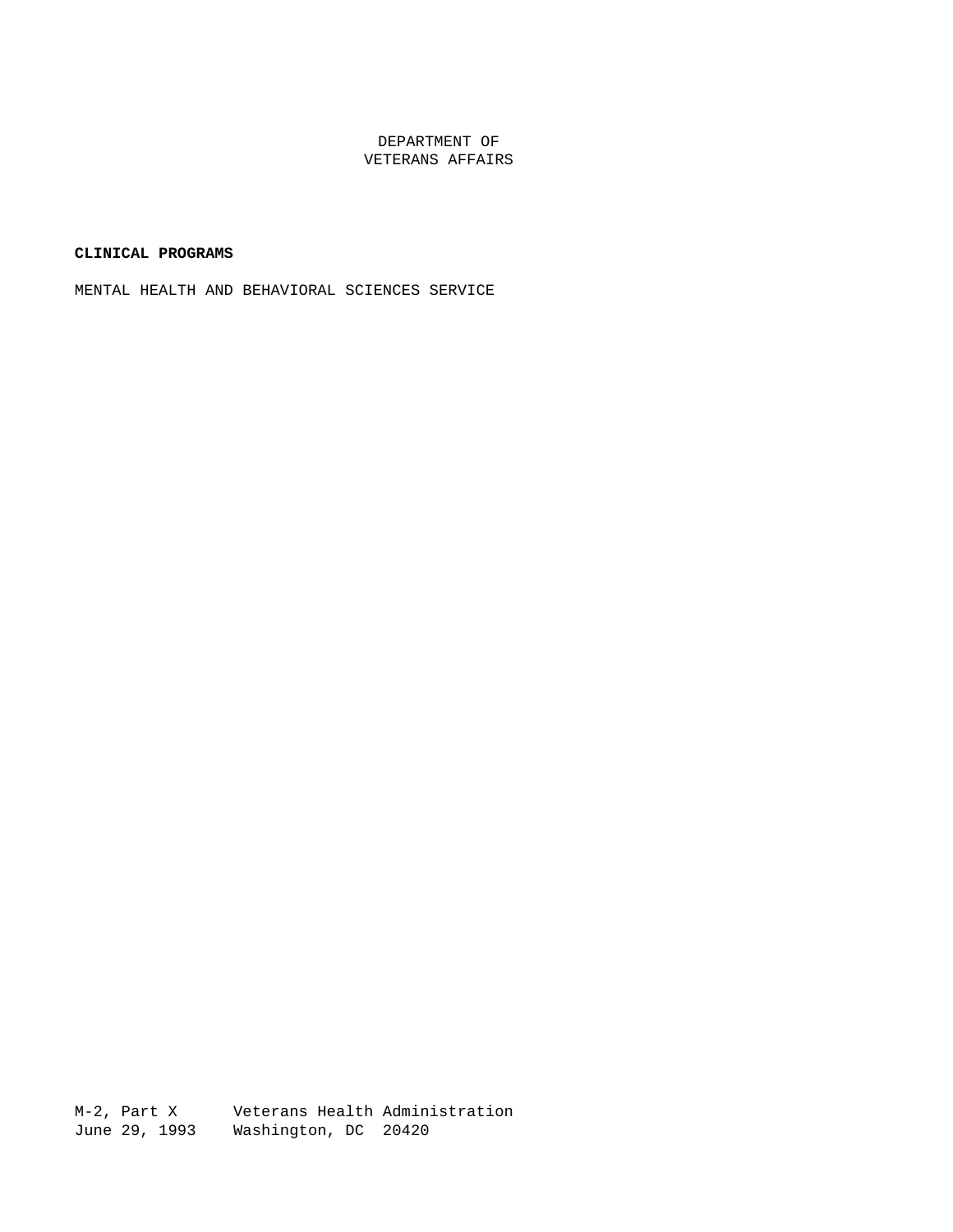### DEPARTMENT OF VETERANS AFFAIRS

### **CLINICAL PROGRAMS**

MENTAL HEALTH AND BEHAVIORAL SCIENCES SERVICE

M-2, Part X Veterans Health Administration June 29, 1993 Washington, DC 20420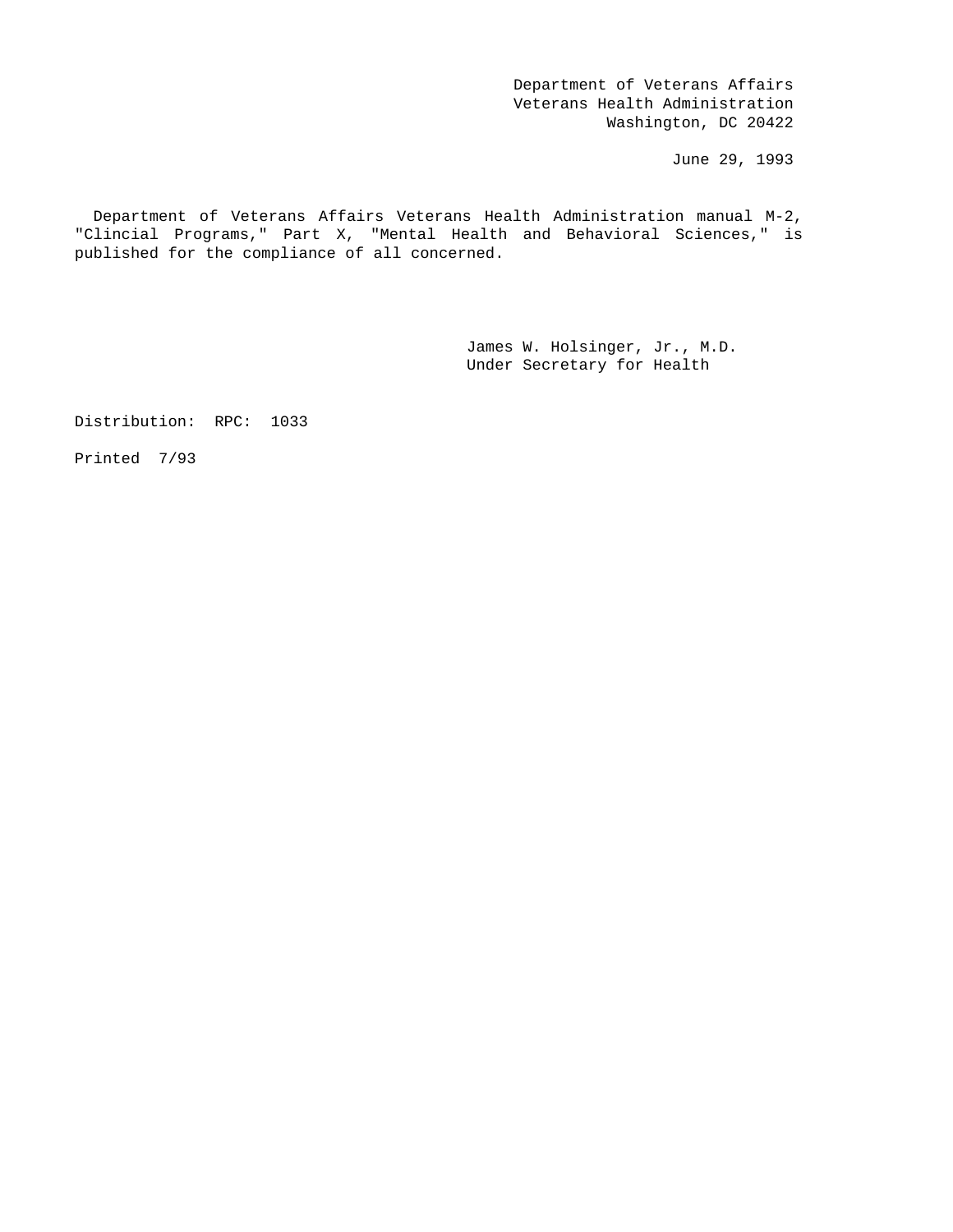Department of Veterans Affairs Veterans Health Administration Washington, DC 20422

June 29, 1993

 Department of Veterans Affairs Veterans Health Administration manual M-2, "Clincial Programs," Part X, "Mental Health and Behavioral Sciences," is published for the compliance of all concerned.

> James W. Holsinger, Jr., M.D. Under Secretary for Health

Distribution: RPC: 1033

Printed 7/93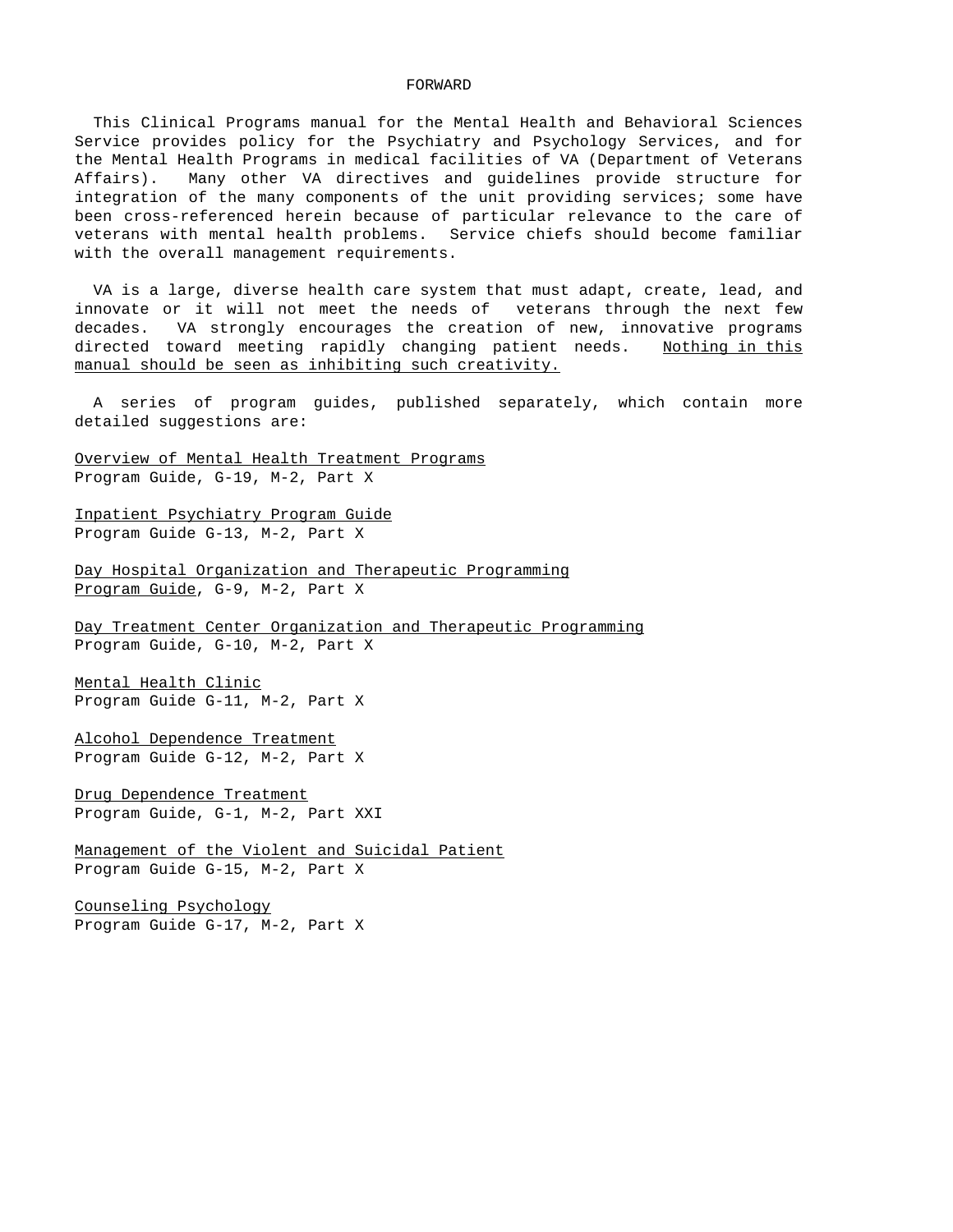#### FORWARD

 This Clinical Programs manual for the Mental Health and Behavioral Sciences Service provides policy for the Psychiatry and Psychology Services, and for the Mental Health Programs in medical facilities of VA (Department of Veterans Affairs). Many other VA directives and guidelines provide structure for integration of the many components of the unit providing services; some have been cross-referenced herein because of particular relevance to the care of veterans with mental health problems. Service chiefs should become familiar with the overall management requirements.

 VA is a large, diverse health care system that must adapt, create, lead, and innovate or it will not meet the needs of veterans through the next few decades. VA strongly encourages the creation of new, innovative programs directed toward meeting rapidly changing patient needs. Nothing in this manual should be seen as inhibiting such creativity.

 A series of program guides, published separately, which contain more detailed suggestions are:

Overview of Mental Health Treatment Programs Program Guide, G-19, M-2, Part X

Inpatient Psychiatry Program Guide Program Guide G-13, M-2, Part X

Day Hospital Organization and Therapeutic Programming Program Guide, G-9, M-2, Part X

Day Treatment Center Organization and Therapeutic Programming Program Guide, G-10, M-2, Part X

Mental Health Clinic Program Guide G-11, M-2, Part X

Alcohol Dependence Treatment Program Guide G-12, M-2, Part X

Drug Dependence Treatment Program Guide, G-1, M-2, Part XXI

Management of the Violent and Suicidal Patient Program Guide G-15, M-2, Part X

Counseling Psychology Program Guide G-17, M-2, Part X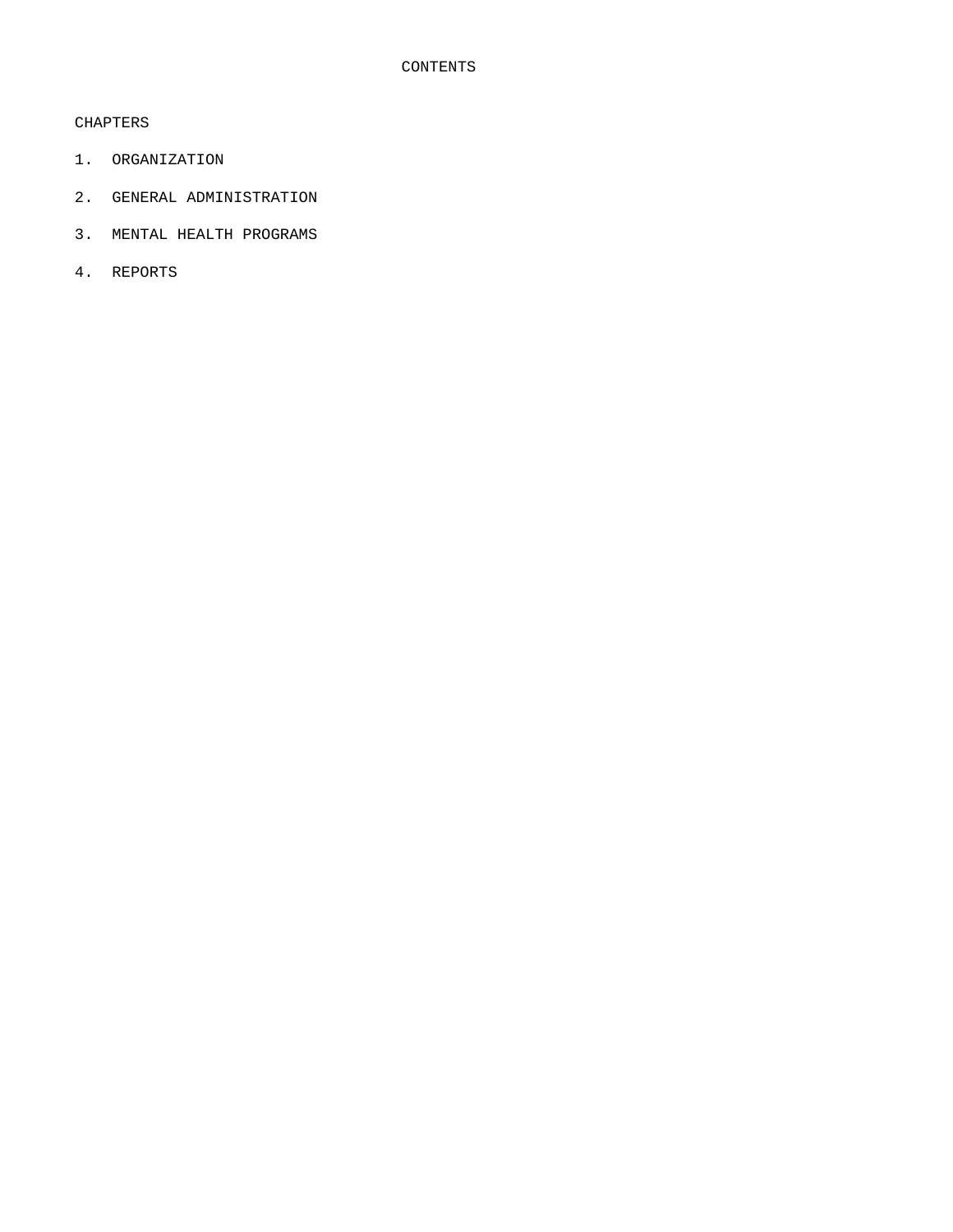# CHAPTERS

- 1. ORGANIZATION
- 2. GENERAL ADMINISTRATION
- 3. MENTAL HEALTH PROGRAMS
- 4. REPORTS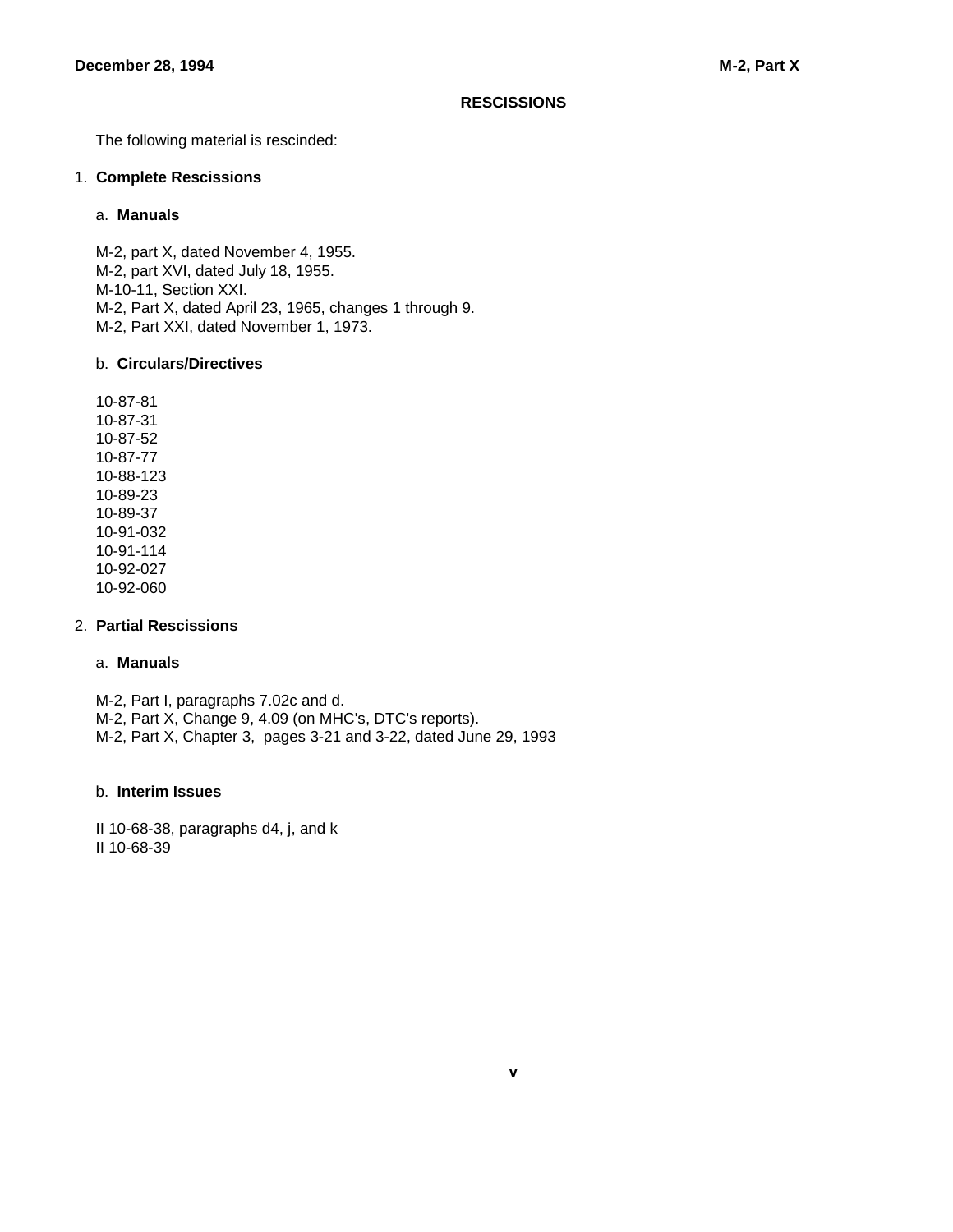### **RESCISSIONS**

The following material is rescinded:

### 1. **Complete Rescissions**

### a. **Manuals**

 M-2, part X, dated November 4, 1955. M-2, part XVI, dated July 18, 1955. M-10-11, Section XXI. M-2, Part X, dated April 23, 1965, changes 1 through 9. M-2, Part XXI, dated November 1, 1973.

# b. **Circulars/Directives**

 10-87-81 10-87-31 10-87-52 10-87-77 10-88-123 10-89-23 10-89-37 10-91-032 10-91-114 10-92-027 10-92-060

# 2. **Partial Rescissions**

# a. **Manuals**

 M-2, Part I, paragraphs 7.02c and d. M-2, Part X, Change 9, 4.09 (on MHC's, DTC's reports). M-2, Part X, Chapter 3, pages 3-21 and 3-22, dated June 29, 1993

# b. **Interim Issues**

 II 10-68-38, paragraphs d4, j, and k II 10-68-39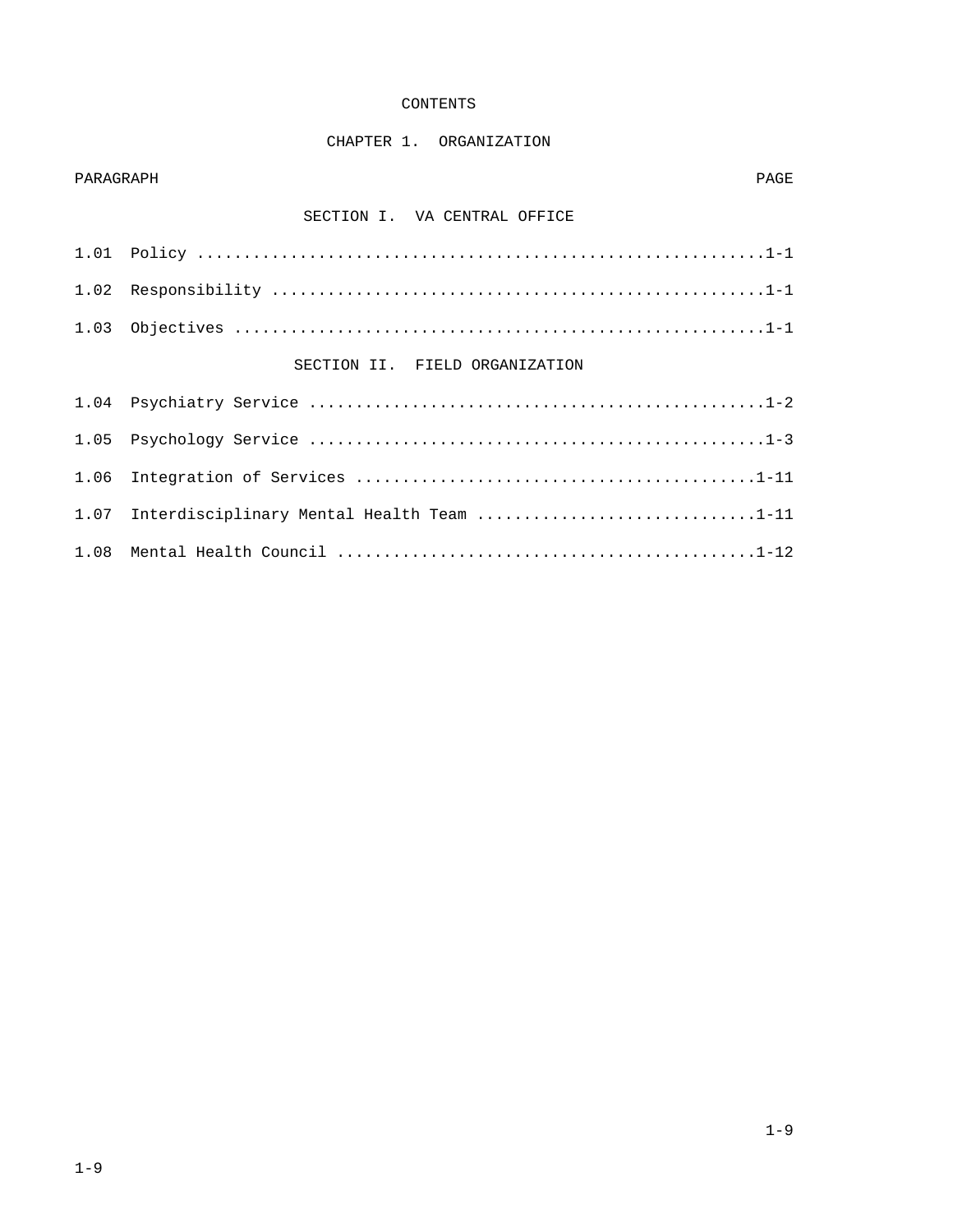### CONTENTS

# CHAPTER 1. ORGANIZATION

### PARAGRAPH PAGE

# SECTION I. VA CENTRAL OFFICE

| SECTION II. FIELD ORGANIZATION |
|--------------------------------|

| 1.07 Interdisciplinary Mental Health Team 1-11 |
|------------------------------------------------|
|                                                |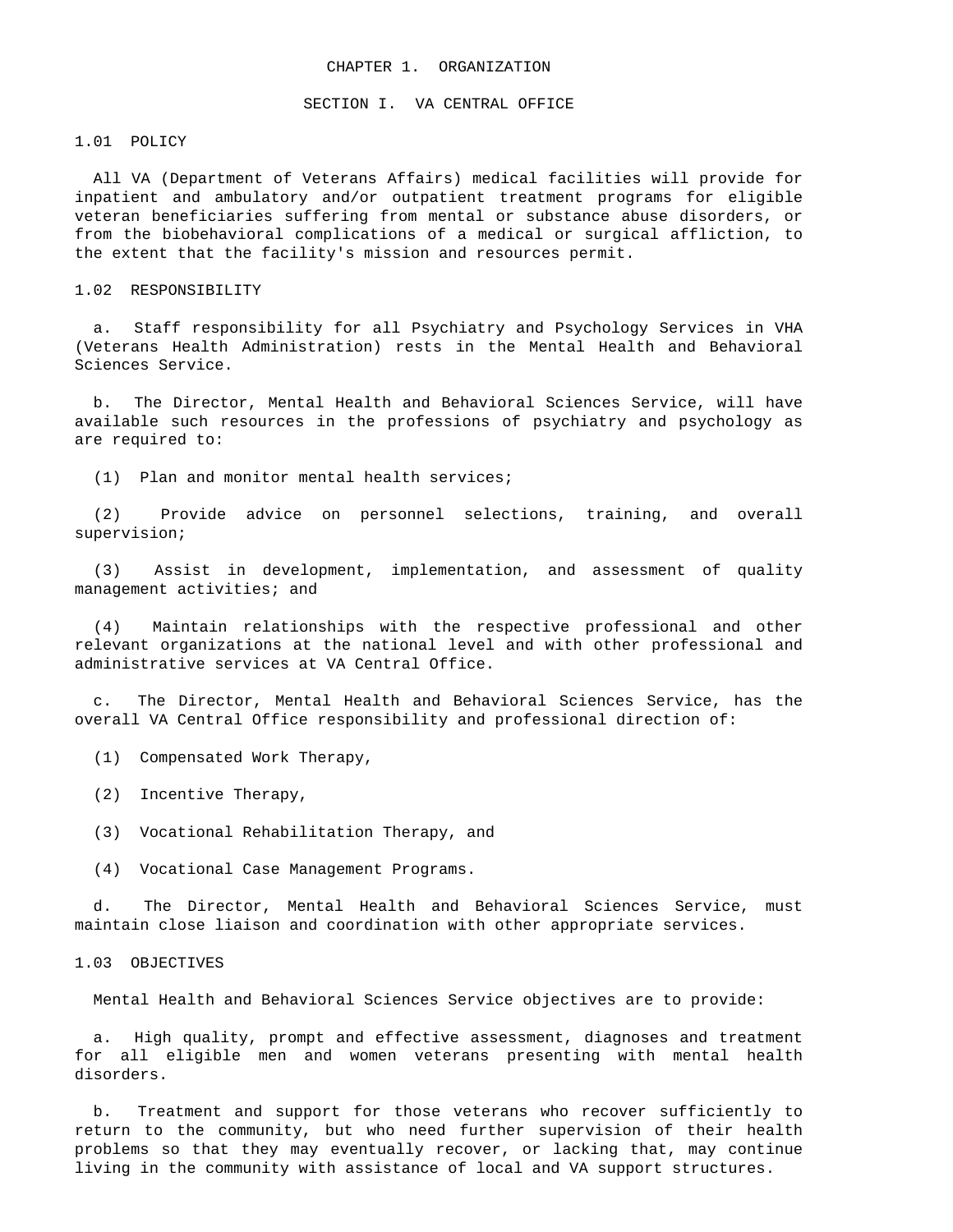#### CHAPTER 1. ORGANIZATION

#### SECTION I. VA CENTRAL OFFICE

1.01 POLICY

 All VA (Department of Veterans Affairs) medical facilities will provide for inpatient and ambulatory and/or outpatient treatment programs for eligible veteran beneficiaries suffering from mental or substance abuse disorders, or from the biobehavioral complications of a medical or surgical affliction, to the extent that the facility's mission and resources permit.

### 1.02 RESPONSIBILITY

 a. Staff responsibility for all Psychiatry and Psychology Services in VHA (Veterans Health Administration) rests in the Mental Health and Behavioral Sciences Service.

 b. The Director, Mental Health and Behavioral Sciences Service, will have available such resources in the professions of psychiatry and psychology as are required to:

(1) Plan and monitor mental health services;

 (2) Provide advice on personnel selections, training, and overall supervision;

 (3) Assist in development, implementation, and assessment of quality management activities; and

 (4) Maintain relationships with the respective professional and other relevant organizations at the national level and with other professional and administrative services at VA Central Office.

 c. The Director, Mental Health and Behavioral Sciences Service, has the overall VA Central Office responsibility and professional direction of:

- (1) Compensated Work Therapy,
- (2) Incentive Therapy,
- (3) Vocational Rehabilitation Therapy, and
- (4) Vocational Case Management Programs.

 d. The Director, Mental Health and Behavioral Sciences Service, must maintain close liaison and coordination with other appropriate services.

### 1.03 OBJECTIVES

Mental Health and Behavioral Sciences Service objectives are to provide:

 a. High quality, prompt and effective assessment, diagnoses and treatment for all eligible men and women veterans presenting with mental health disorders.

 b. Treatment and support for those veterans who recover sufficiently to return to the community, but who need further supervision of their health problems so that they may eventually recover, or lacking that, may continue living in the community with assistance of local and VA support structures.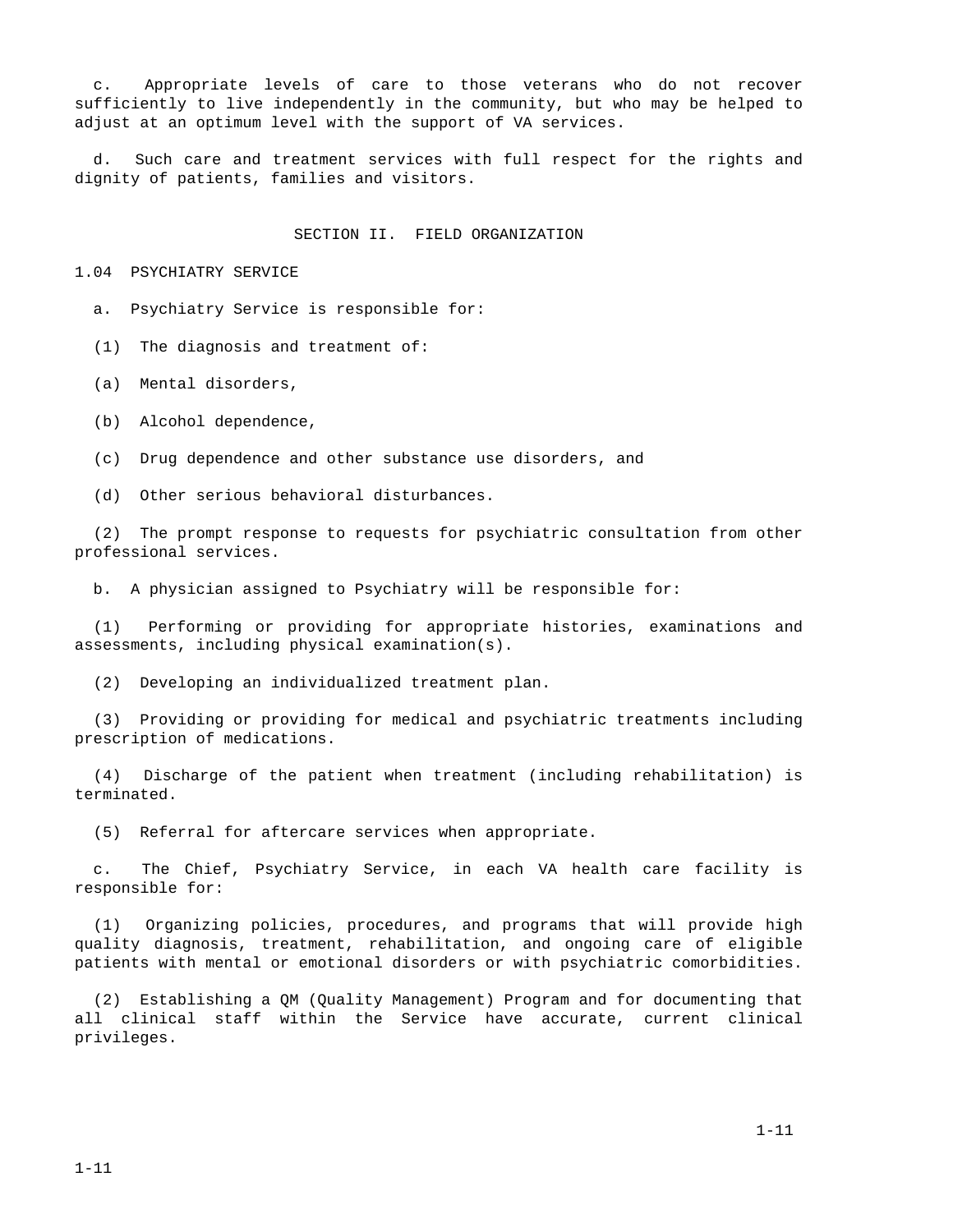c. Appropriate levels of care to those veterans who do not recover sufficiently to live independently in the community, but who may be helped to adjust at an optimum level with the support of VA services.

Such care and treatment services with full respect for the rights and dignity of patients, families and visitors.

#### SECTION II. FIELD ORGANIZATION

1.04 PSYCHIATRY SERVICE

a. Psychiatry Service is responsible for:

(1) The diagnosis and treatment of:

(a) Mental disorders,

(b) Alcohol dependence,

(c) Drug dependence and other substance use disorders, and

(d) Other serious behavioral disturbances.

 (2) The prompt response to requests for psychiatric consultation from other professional services.

b. A physician assigned to Psychiatry will be responsible for:

 (1) Performing or providing for appropriate histories, examinations and assessments, including physical examination(s).

(2) Developing an individualized treatment plan.

 (3) Providing or providing for medical and psychiatric treatments including prescription of medications.

 (4) Discharge of the patient when treatment (including rehabilitation) is terminated.

(5) Referral for aftercare services when appropriate.

 c. The Chief, Psychiatry Service, in each VA health care facility is responsible for:

 (1) Organizing policies, procedures, and programs that will provide high quality diagnosis, treatment, rehabilitation, and ongoing care of eligible patients with mental or emotional disorders or with psychiatric comorbidities.

 (2) Establishing a QM (Quality Management) Program and for documenting that all clinical staff within the Service have accurate, current clinical privileges.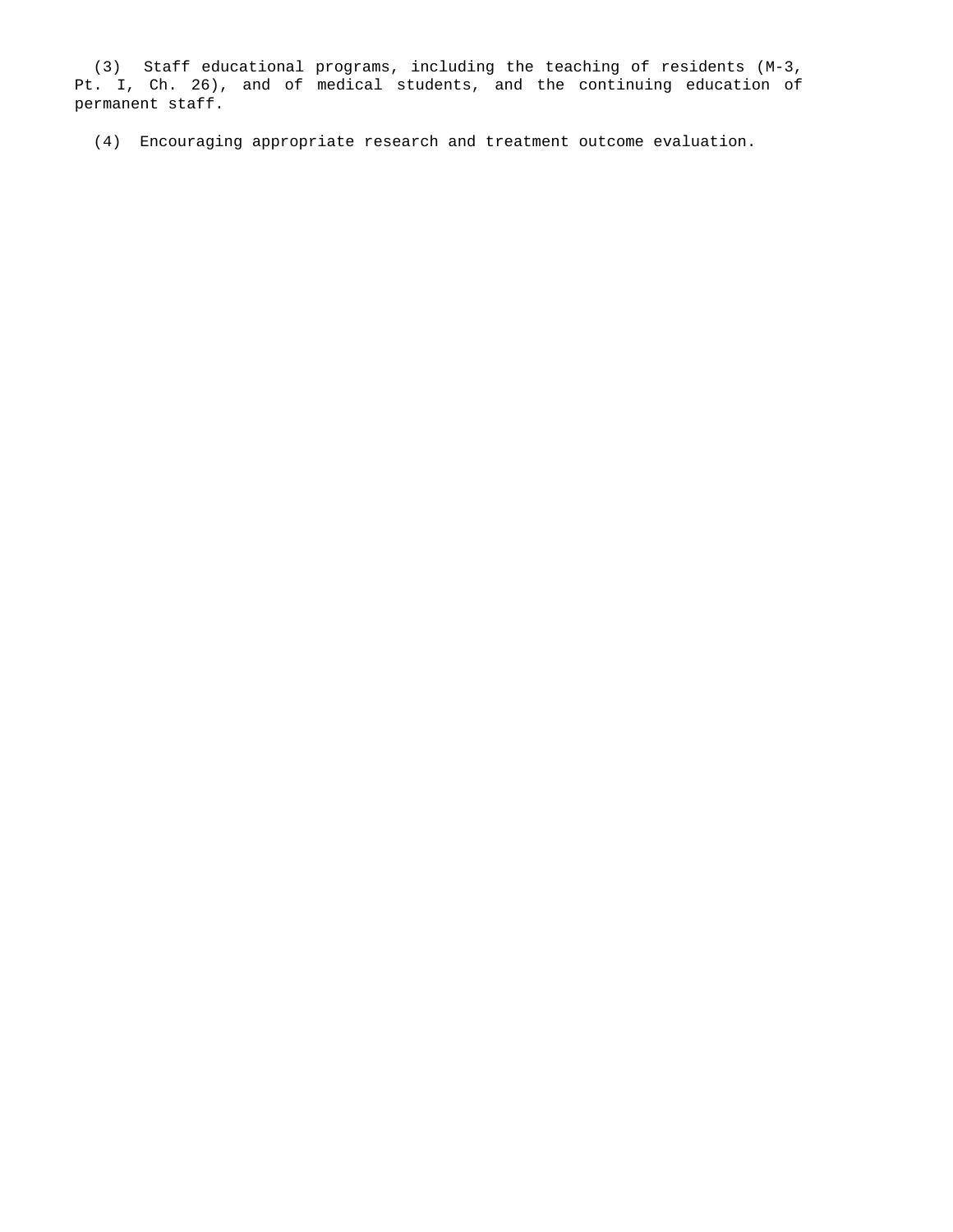(3) Staff educational programs, including the teaching of residents (M-3, Pt. I, Ch. 26), and of medical students, and the continuing education of permanent staff.

(4) Encouraging appropriate research and treatment outcome evaluation.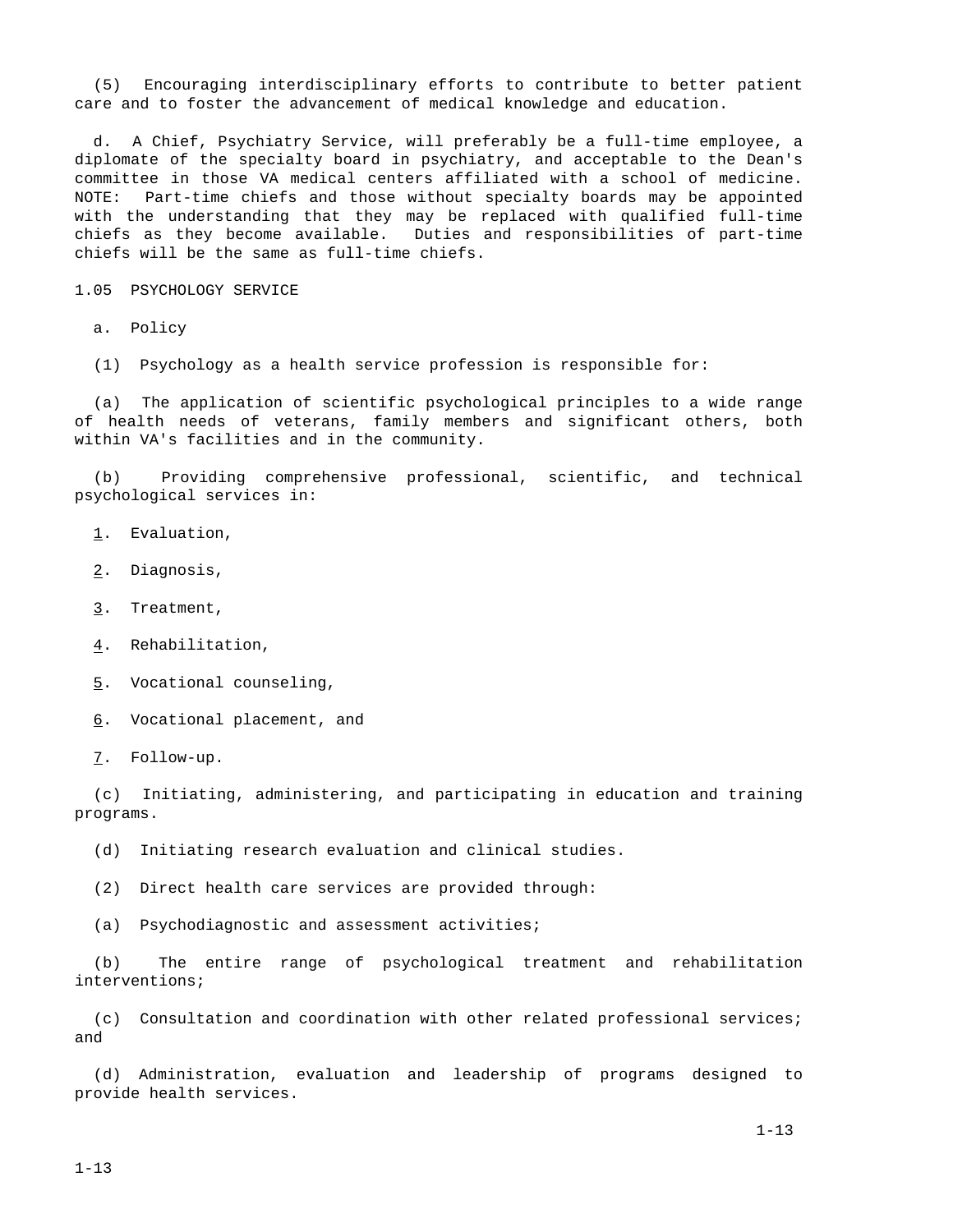(5) Encouraging interdisciplinary efforts to contribute to better patient care and to foster the advancement of medical knowledge and education.

 d. A Chief, Psychiatry Service, will preferably be a full-time employee, a diplomate of the specialty board in psychiatry, and acceptable to the Dean's committee in those VA medical centers affiliated with a school of medicine. NOTE: Part-time chiefs and those without specialty boards may be appointed with the understanding that they may be replaced with qualified full-time chiefs as they become available. Duties and responsibilities of part-time chiefs will be the same as full-time chiefs.

1.05 PSYCHOLOGY SERVICE

a. Policy

(1) Psychology as a health service profession is responsible for:

 (a) The application of scientific psychological principles to a wide range of health needs of veterans, family members and significant others, both within VA's facilities and in the community.

 (b) Providing comprehensive professional, scientific, and technical psychological services in:

- 1. Evaluation,
- 2. Diagnosis,
- 3. Treatment,
- 4. Rehabilitation,
- 5. Vocational counseling,
- 6. Vocational placement, and
- 7. Follow-up.

 (c) Initiating, administering, and participating in education and training programs.

(d) Initiating research evaluation and clinical studies.

(2) Direct health care services are provided through:

(a) Psychodiagnostic and assessment activities;

 (b) The entire range of psychological treatment and rehabilitation interventions;

 (c) Consultation and coordination with other related professional services; and

 (d) Administration, evaluation and leadership of programs designed to provide health services.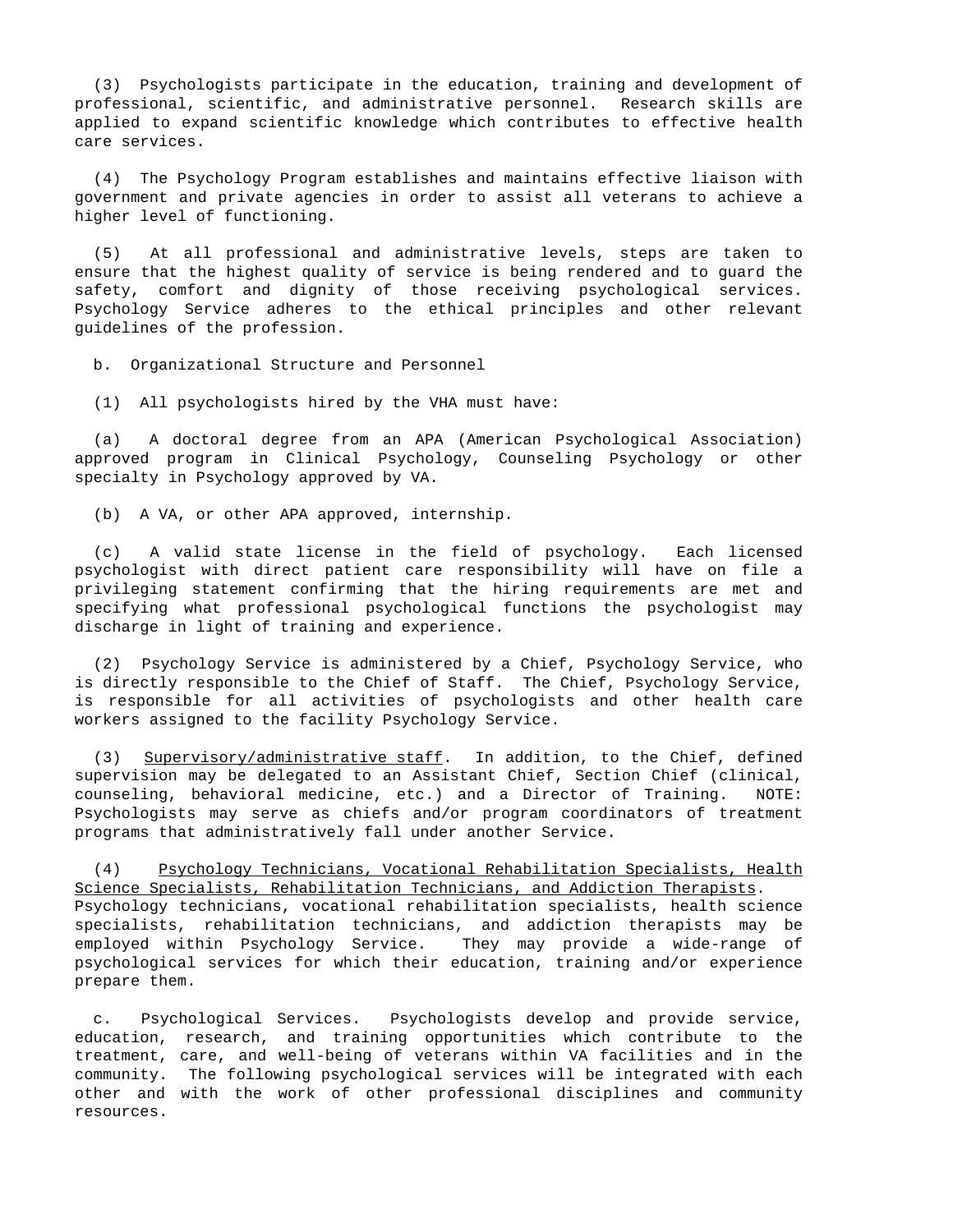(3) Psychologists participate in the education, training and development of professional, scientific, and administrative personnel. Research skills are applied to expand scientific knowledge which contributes to effective health care services.

 (4) The Psychology Program establishes and maintains effective liaison with government and private agencies in order to assist all veterans to achieve a higher level of functioning.

 (5) At all professional and administrative levels, steps are taken to ensure that the highest quality of service is being rendered and to guard the safety, comfort and dignity of those receiving psychological services. Psychology Service adheres to the ethical principles and other relevant guidelines of the profession.

b. Organizational Structure and Personnel

(1) All psychologists hired by the VHA must have:

 (a) A doctoral degree from an APA (American Psychological Association) approved program in Clinical Psychology, Counseling Psychology or other specialty in Psychology approved by VA.

(b) A VA, or other APA approved, internship.

 (c) A valid state license in the field of psychology. Each licensed psychologist with direct patient care responsibility will have on file a privileging statement confirming that the hiring requirements are met and specifying what professional psychological functions the psychologist may discharge in light of training and experience.

 (2) Psychology Service is administered by a Chief, Psychology Service, who is directly responsible to the Chief of Staff. The Chief, Psychology Service, is responsible for all activities of psychologists and other health care workers assigned to the facility Psychology Service.

 (3) Supervisory/administrative staff. In addition, to the Chief, defined supervision may be delegated to an Assistant Chief, Section Chief (clinical, counseling, behavioral medicine, etc.) and a Director of Training. NOTE: Psychologists may serve as chiefs and/or program coordinators of treatment programs that administratively fall under another Service.

 (4) Psychology Technicians, Vocational Rehabilitation Specialists, Health Science Specialists, Rehabilitation Technicians, and Addiction Therapists. Psychology technicians, vocational rehabilitation specialists, health science specialists, rehabilitation technicians, and addiction therapists may be employed within Psychology Service. They may provide a wide-range of psychological services for which their education, training and/or experience prepare them.

 c. Psychological Services. Psychologists develop and provide service, education, research, and training opportunities which contribute to the treatment, care, and well-being of veterans within VA facilities and in the community. The following psychological services will be integrated with each other and with the work of other professional disciplines and community resources.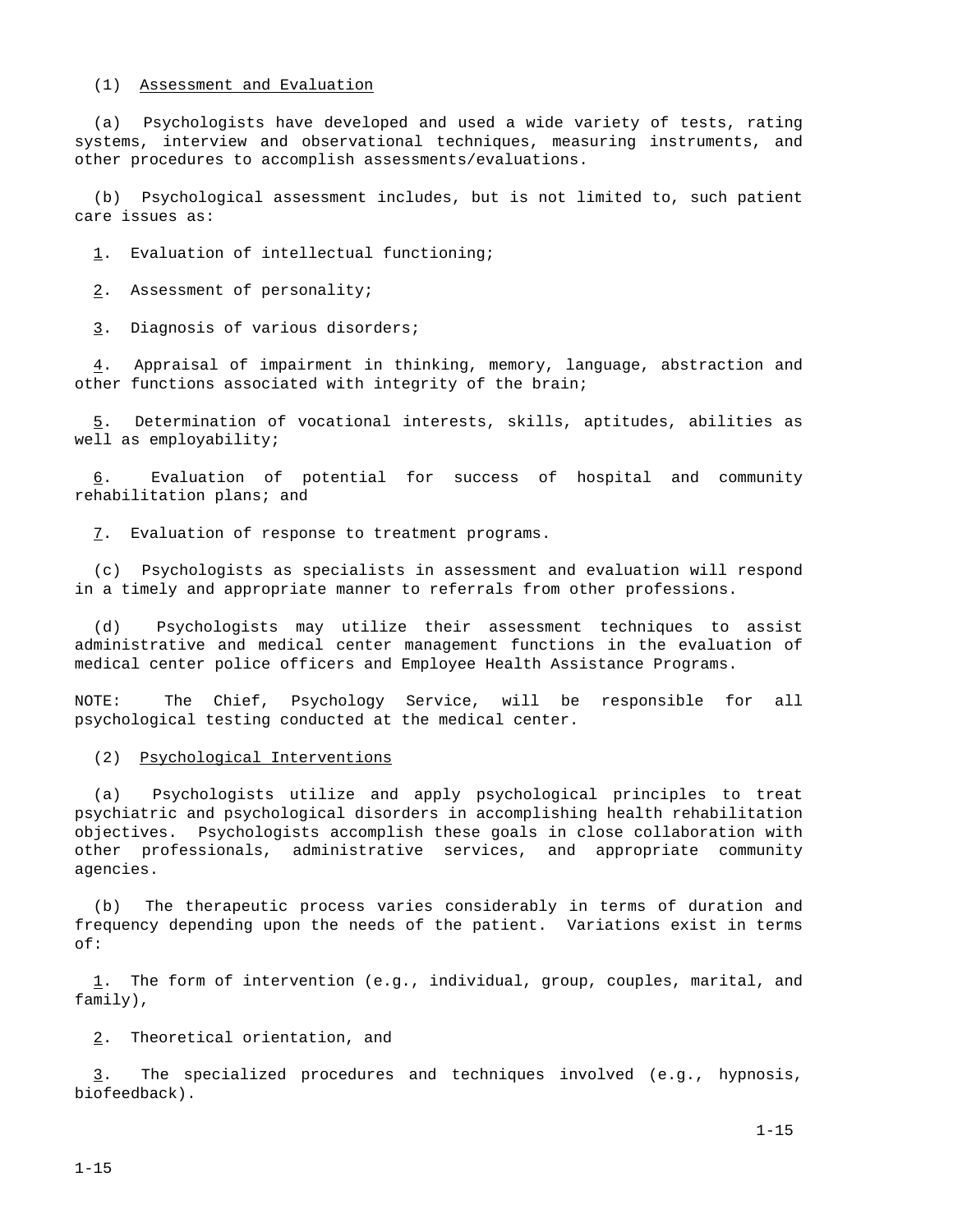#### (1) Assessment and Evaluation

 (a) Psychologists have developed and used a wide variety of tests, rating systems, interview and observational techniques, measuring instruments, and other procedures to accomplish assessments/evaluations.

 (b) Psychological assessment includes, but is not limited to, such patient care issues as:

1. Evaluation of intellectual functioning;

2. Assessment of personality;

3. Diagnosis of various disorders;

 4. Appraisal of impairment in thinking, memory, language, abstraction and other functions associated with integrity of the brain;

 5. Determination of vocational interests, skills, aptitudes, abilities as well as employability;

 6. Evaluation of potential for success of hospital and community rehabilitation plans; and

7. Evaluation of response to treatment programs.

 (c) Psychologists as specialists in assessment and evaluation will respond in a timely and appropriate manner to referrals from other professions.

 (d) Psychologists may utilize their assessment techniques to assist administrative and medical center management functions in the evaluation of medical center police officers and Employee Health Assistance Programs.

NOTE: The Chief, Psychology Service, will be responsible for all psychological testing conducted at the medical center.

(2) Psychological Interventions

 (a) Psychologists utilize and apply psychological principles to treat psychiatric and psychological disorders in accomplishing health rehabilitation objectives. Psychologists accomplish these goals in close collaboration with other professionals, administrative services, and appropriate community agencies.

 (b) The therapeutic process varies considerably in terms of duration and frequency depending upon the needs of the patient. Variations exist in terms of:

 1. The form of intervention (e.g., individual, group, couples, marital, and family),

2. Theoretical orientation, and

 3. The specialized procedures and techniques involved (e.g., hypnosis, biofeedback).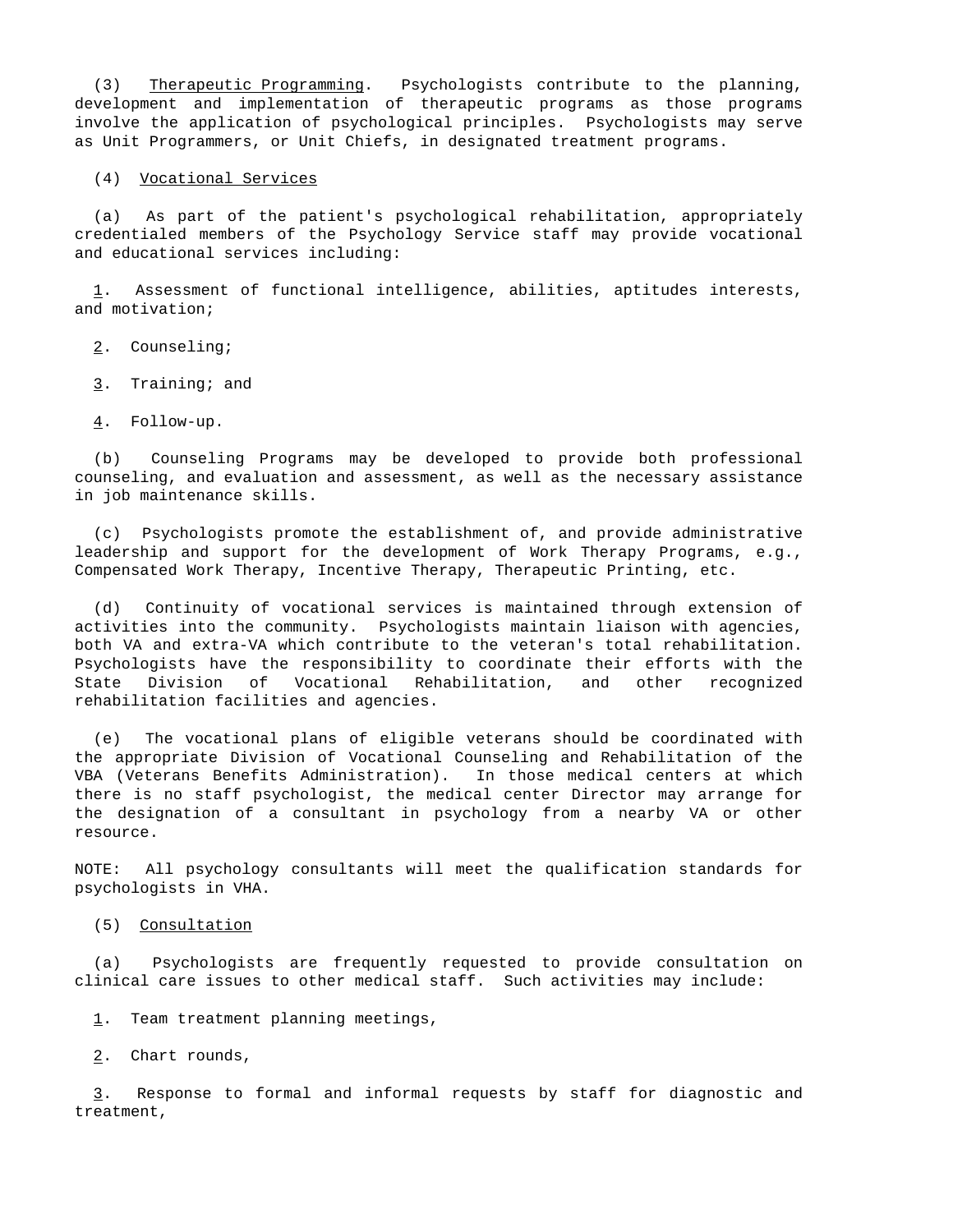(3) Therapeutic Programming. Psychologists contribute to the planning, development and implementation of therapeutic programs as those programs involve the application of psychological principles. Psychologists may serve as Unit Programmers, or Unit Chiefs, in designated treatment programs.

(4) Vocational Services

 (a) As part of the patient's psychological rehabilitation, appropriately credentialed members of the Psychology Service staff may provide vocational and educational services including:

 1. Assessment of functional intelligence, abilities, aptitudes interests, and motivation;

2. Counseling;

- 3. Training; and
- 4. Follow-up.

 (b) Counseling Programs may be developed to provide both professional counseling, and evaluation and assessment, as well as the necessary assistance in job maintenance skills.

 (c) Psychologists promote the establishment of, and provide administrative leadership and support for the development of Work Therapy Programs, e.g., Compensated Work Therapy, Incentive Therapy, Therapeutic Printing, etc.

 (d) Continuity of vocational services is maintained through extension of activities into the community. Psychologists maintain liaison with agencies, both VA and extra-VA which contribute to the veteran's total rehabilitation. Psychologists have the responsibility to coordinate their efforts with the State Division of Vocational Rehabilitation, and other recognized rehabilitation facilities and agencies.

 (e) The vocational plans of eligible veterans should be coordinated with the appropriate Division of Vocational Counseling and Rehabilitation of the VBA (Veterans Benefits Administration). In those medical centers at which there is no staff psychologist, the medical center Director may arrange for the designation of a consultant in psychology from a nearby VA or other resource.

NOTE: All psychology consultants will meet the qualification standards for psychologists in VHA.

(5) Consultation

 (a) Psychologists are frequently requested to provide consultation on clinical care issues to other medical staff. Such activities may include:

1. Team treatment planning meetings,

2. Chart rounds,

 3. Response to formal and informal requests by staff for diagnostic and treatment,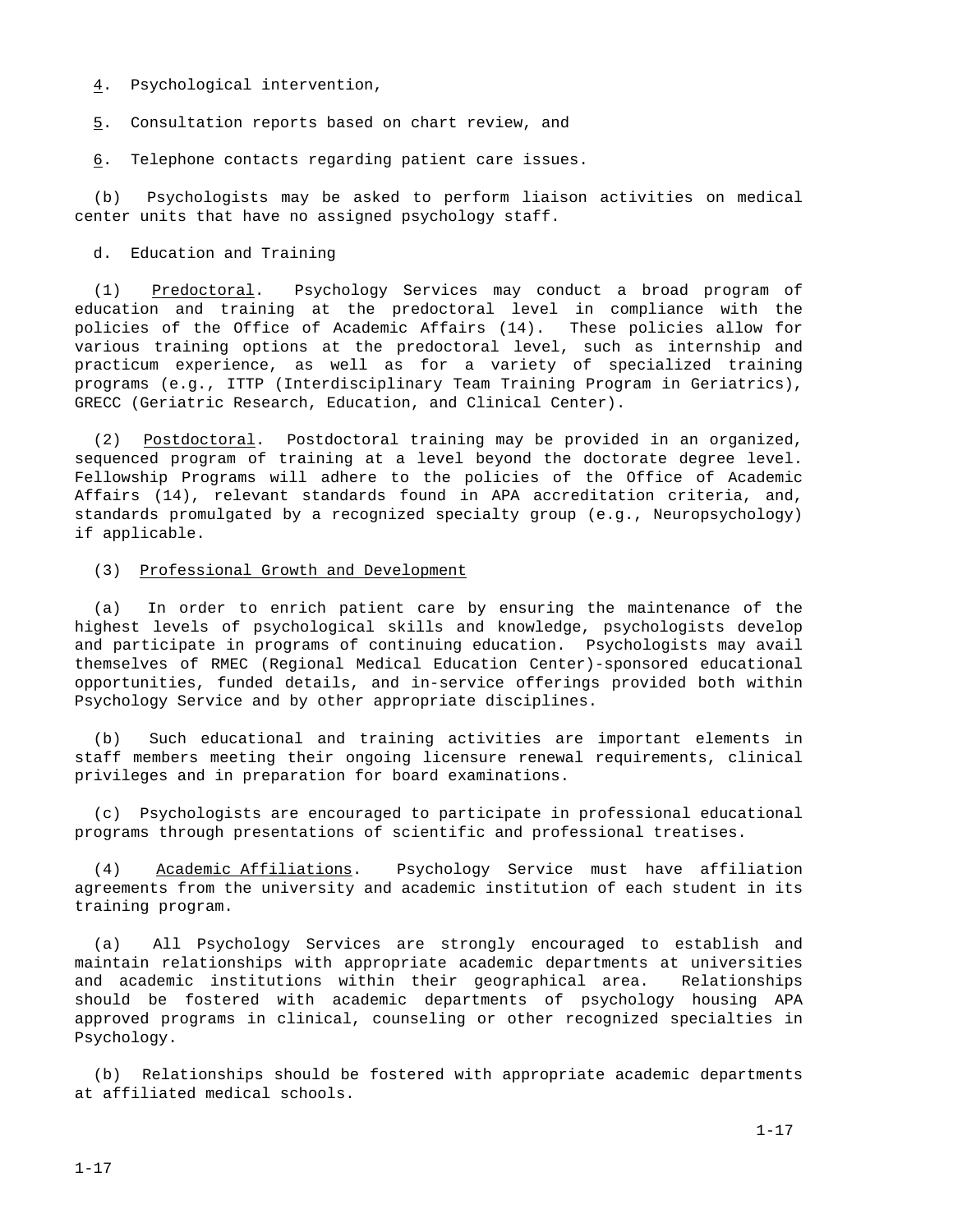4. Psychological intervention,

5. Consultation reports based on chart review, and

6. Telephone contacts regarding patient care issues.

 (b) Psychologists may be asked to perform liaison activities on medical center units that have no assigned psychology staff.

### d. Education and Training

 (1) Predoctoral. Psychology Services may conduct a broad program of education and training at the predoctoral level in compliance with the policies of the Office of Academic Affairs (14). These policies allow for various training options at the predoctoral level, such as internship and practicum experience, as well as for a variety of specialized training programs (e.g., ITTP (Interdisciplinary Team Training Program in Geriatrics), GRECC (Geriatric Research, Education, and Clinical Center).

 (2) Postdoctoral. Postdoctoral training may be provided in an organized, sequenced program of training at a level beyond the doctorate degree level. Fellowship Programs will adhere to the policies of the Office of Academic Affairs (14), relevant standards found in APA accreditation criteria, and, standards promulgated by a recognized specialty group (e.g., Neuropsychology) if applicable.

#### (3) Professional Growth and Development

 (a) In order to enrich patient care by ensuring the maintenance of the highest levels of psychological skills and knowledge, psychologists develop and participate in programs of continuing education. Psychologists may avail themselves of RMEC (Regional Medical Education Center)-sponsored educational opportunities, funded details, and in-service offerings provided both within Psychology Service and by other appropriate disciplines.

 (b) Such educational and training activities are important elements in staff members meeting their ongoing licensure renewal requirements, clinical privileges and in preparation for board examinations.

 (c) Psychologists are encouraged to participate in professional educational programs through presentations of scientific and professional treatises.

 (4) Academic Affiliations. Psychology Service must have affiliation agreements from the university and academic institution of each student in its training program.

 (a) All Psychology Services are strongly encouraged to establish and maintain relationships with appropriate academic departments at universities and academic institutions within their geographical area. Relationships should be fostered with academic departments of psychology housing APA approved programs in clinical, counseling or other recognized specialties in Psychology.

 (b) Relationships should be fostered with appropriate academic departments at affiliated medical schools.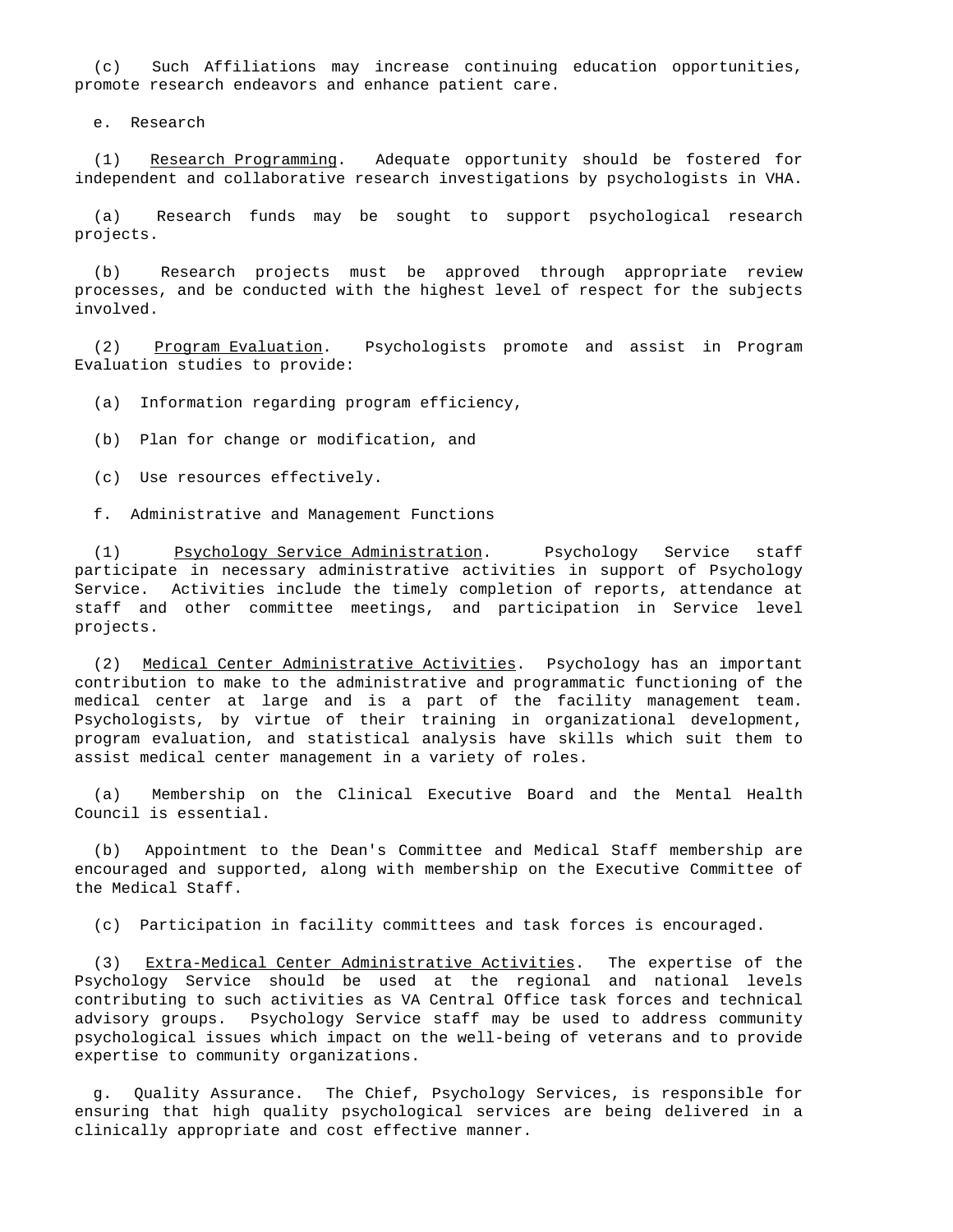(c) Such Affiliations may increase continuing education opportunities, promote research endeavors and enhance patient care.

e. Research

 (1) Research Programming. Adequate opportunity should be fostered for independent and collaborative research investigations by psychologists in VHA.

 (a) Research funds may be sought to support psychological research projects.

 (b) Research projects must be approved through appropriate review processes, and be conducted with the highest level of respect for the subjects involved.

 (2) Program Evaluation. Psychologists promote and assist in Program Evaluation studies to provide:

(a) Information regarding program efficiency,

(b) Plan for change or modification, and

(c) Use resources effectively.

f. Administrative and Management Functions

 (1) Psychology Service Administration. Psychology Service staff participate in necessary administrative activities in support of Psychology Service. Activities include the timely completion of reports, attendance at staff and other committee meetings, and participation in Service level projects.

 (2) Medical Center Administrative Activities. Psychology has an important contribution to make to the administrative and programmatic functioning of the medical center at large and is a part of the facility management team. Psychologists, by virtue of their training in organizational development, program evaluation, and statistical analysis have skills which suit them to assist medical center management in a variety of roles.

 (a) Membership on the Clinical Executive Board and the Mental Health Council is essential.

 (b) Appointment to the Dean's Committee and Medical Staff membership are encouraged and supported, along with membership on the Executive Committee of the Medical Staff.

(c) Participation in facility committees and task forces is encouraged.

 (3) Extra-Medical Center Administrative Activities. The expertise of the Psychology Service should be used at the regional and national levels contributing to such activities as VA Central Office task forces and technical advisory groups. Psychology Service staff may be used to address community psychological issues which impact on the well-being of veterans and to provide expertise to community organizations.

 g. Quality Assurance. The Chief, Psychology Services, is responsible for ensuring that high quality psychological services are being delivered in a clinically appropriate and cost effective manner.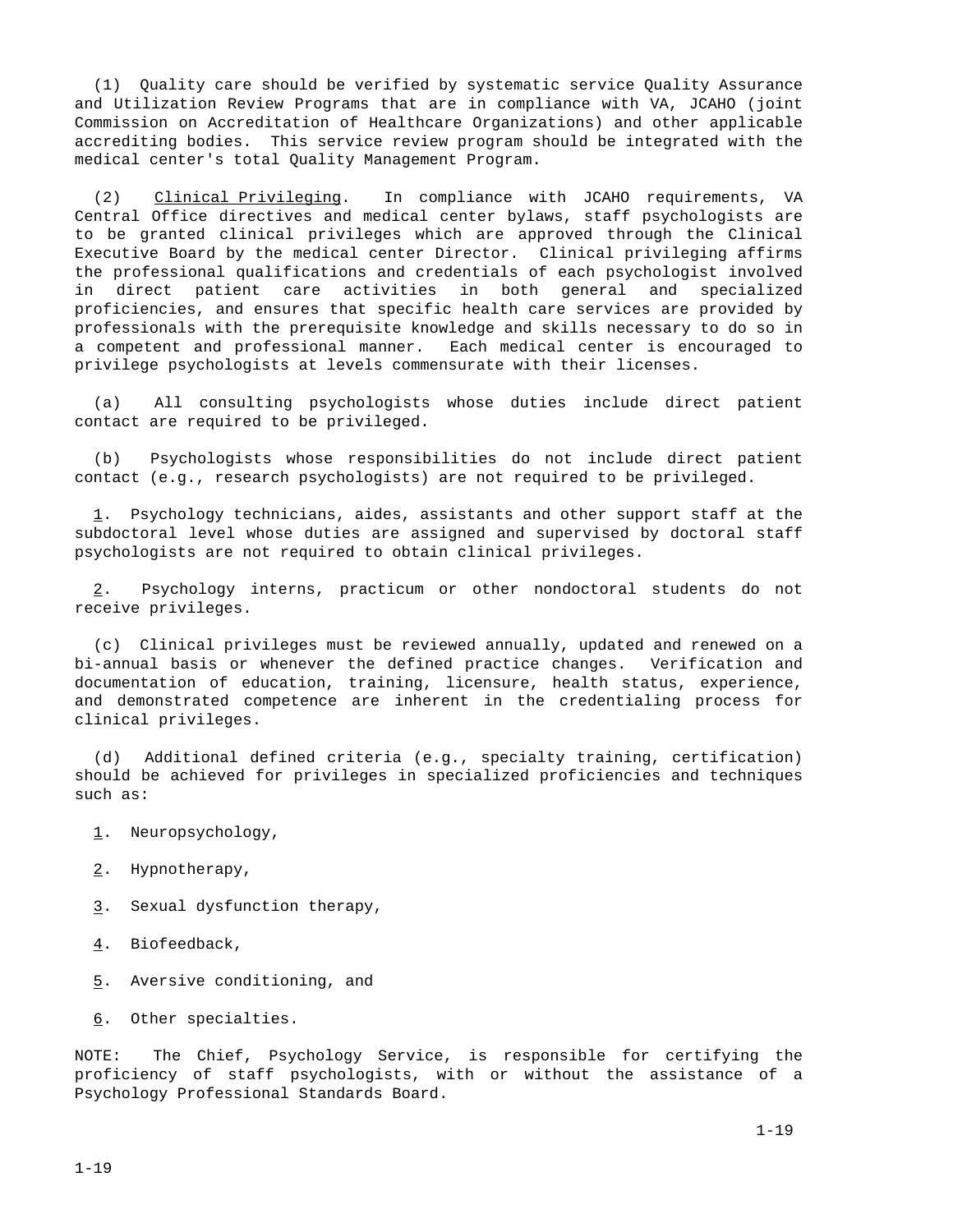(1) Quality care should be verified by systematic service Quality Assurance and Utilization Review Programs that are in compliance with VA, JCAHO (joint Commission on Accreditation of Healthcare Organizations) and other applicable accrediting bodies. This service review program should be integrated with the medical center's total Quality Management Program.

 (2) Clinical Privileging. In compliance with JCAHO requirements, VA Central Office directives and medical center bylaws, staff psychologists are to be granted clinical privileges which are approved through the Clinical Executive Board by the medical center Director. Clinical privileging affirms the professional qualifications and credentials of each psychologist involved in direct patient care activities in both general and specialized proficiencies, and ensures that specific health care services are provided by professionals with the prerequisite knowledge and skills necessary to do so in a competent and professional manner. Each medical center is encouraged to privilege psychologists at levels commensurate with their licenses.

 (a) All consulting psychologists whose duties include direct patient contact are required to be privileged.

 (b) Psychologists whose responsibilities do not include direct patient contact (e.g., research psychologists) are not required to be privileged.

 1. Psychology technicians, aides, assistants and other support staff at the subdoctoral level whose duties are assigned and supervised by doctoral staff psychologists are not required to obtain clinical privileges.

 2. Psychology interns, practicum or other nondoctoral students do not receive privileges.

 (c) Clinical privileges must be reviewed annually, updated and renewed on a bi-annual basis or whenever the defined practice changes. Verification and documentation of education, training, licensure, health status, experience, and demonstrated competence are inherent in the credentialing process for clinical privileges.

 (d) Additional defined criteria (e.g., specialty training, certification) should be achieved for privileges in specialized proficiencies and techniques such as:

- 1. Neuropsychology,
- 2. Hypnotherapy,
- 3. Sexual dysfunction therapy,
- 4. Biofeedback,
- 5. Aversive conditioning, and
- 6. Other specialties.

NOTE: The Chief, Psychology Service, is responsible for certifying the proficiency of staff psychologists, with or without the assistance of a Psychology Professional Standards Board.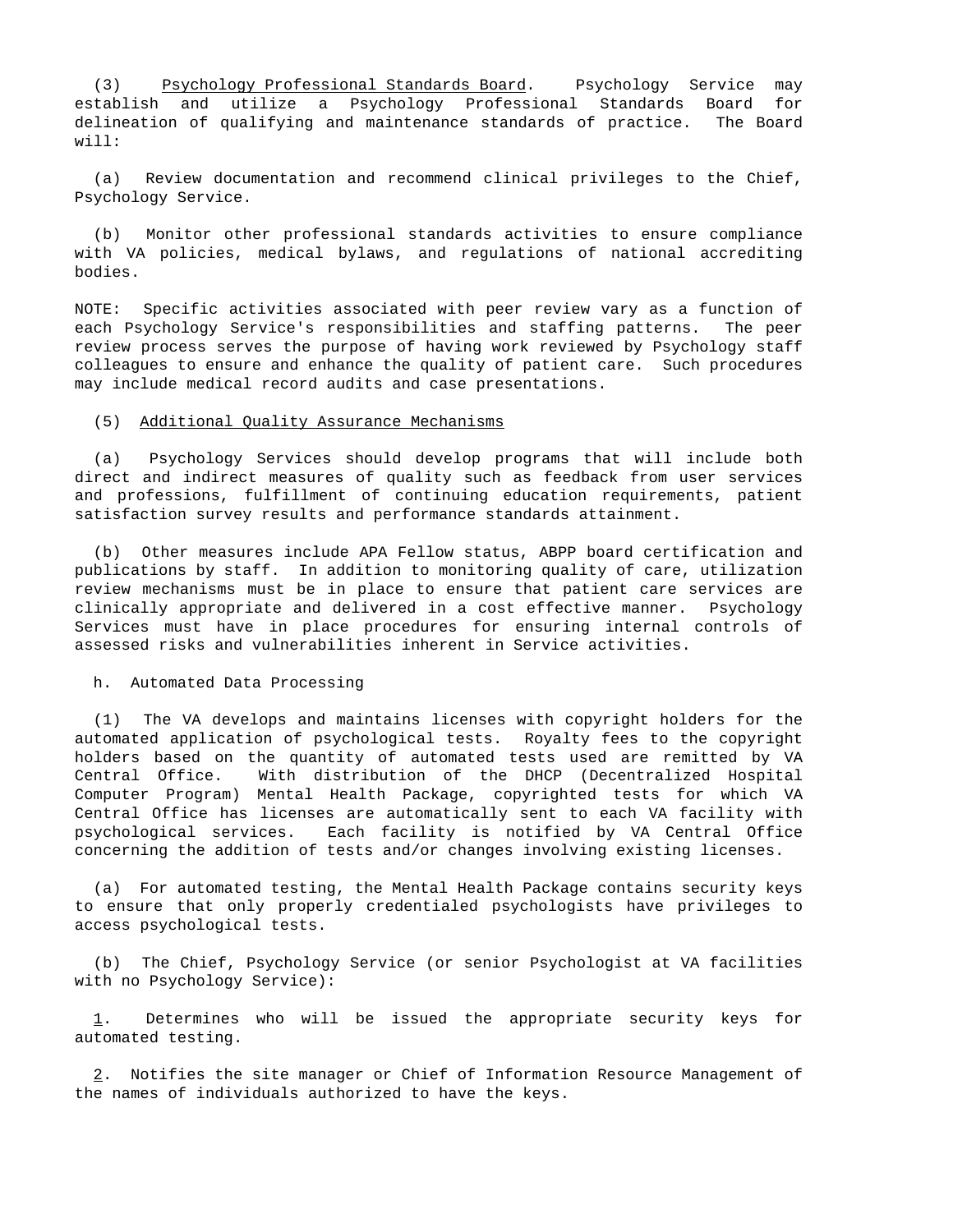(3) Psychology Professional Standards Board. Psychology Service may establish and utilize a Psychology Professional Standards Board for delineation of qualifying and maintenance standards of practice. The Board will:

 (a) Review documentation and recommend clinical privileges to the Chief, Psychology Service.

 (b) Monitor other professional standards activities to ensure compliance with VA policies, medical bylaws, and regulations of national accrediting bodies.

NOTE: Specific activities associated with peer review vary as a function of each Psychology Service's responsibilities and staffing patterns. The peer review process serves the purpose of having work reviewed by Psychology staff colleagues to ensure and enhance the quality of patient care. Such procedures may include medical record audits and case presentations.

### (5) Additional Quality Assurance Mechanisms

 (a) Psychology Services should develop programs that will include both direct and indirect measures of quality such as feedback from user services and professions, fulfillment of continuing education requirements, patient satisfaction survey results and performance standards attainment.

 (b) Other measures include APA Fellow status, ABPP board certification and publications by staff. In addition to monitoring quality of care, utilization review mechanisms must be in place to ensure that patient care services are clinically appropriate and delivered in a cost effective manner. Psychology Services must have in place procedures for ensuring internal controls of assessed risks and vulnerabilities inherent in Service activities.

### h. Automated Data Processing

 (1) The VA develops and maintains licenses with copyright holders for the automated application of psychological tests. Royalty fees to the copyright holders based on the quantity of automated tests used are remitted by VA Central Office. With distribution of the DHCP (Decentralized Hospital Computer Program) Mental Health Package, copyrighted tests for which VA Central Office has licenses are automatically sent to each VA facility with psychological services. Each facility is notified by VA Central Office concerning the addition of tests and/or changes involving existing licenses.

 (a) For automated testing, the Mental Health Package contains security keys to ensure that only properly credentialed psychologists have privileges to access psychological tests.

 (b) The Chief, Psychology Service (or senior Psychologist at VA facilities with no Psychology Service):

 1. Determines who will be issued the appropriate security keys for automated testing.

 2. Notifies the site manager or Chief of Information Resource Management of the names of individuals authorized to have the keys.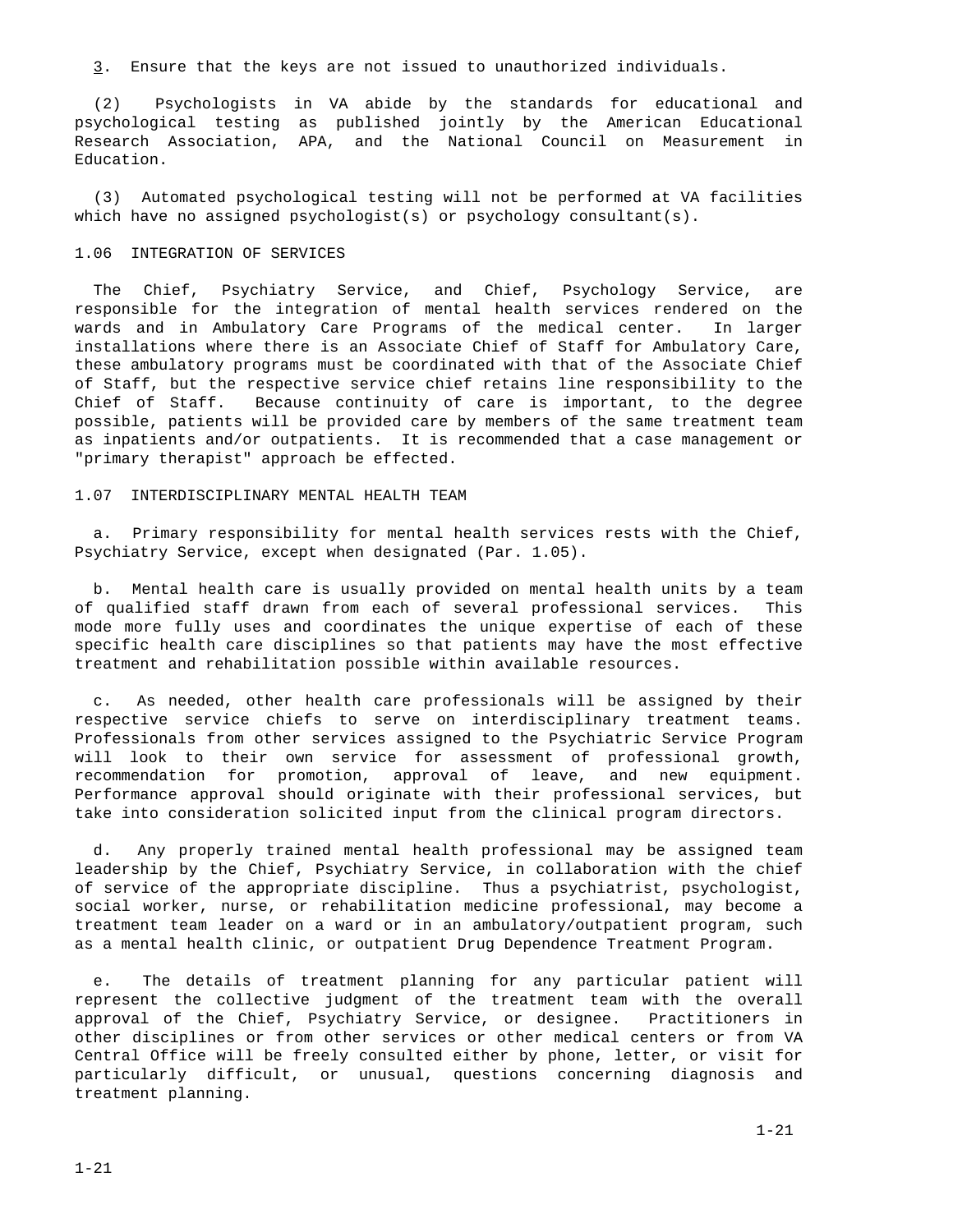3. Ensure that the keys are not issued to unauthorized individuals.

 (2) Psychologists in VA abide by the standards for educational and psychological testing as published jointly by the American Educational Research Association, APA, and the National Council on Measurement in Education.

 (3) Automated psychological testing will not be performed at VA facilities which have no assigned psychologist(s) or psychology consultant(s).

### 1.06 INTEGRATION OF SERVICES

 The Chief, Psychiatry Service, and Chief, Psychology Service, are responsible for the integration of mental health services rendered on the wards and in Ambulatory Care Programs of the medical center. In larger installations where there is an Associate Chief of Staff for Ambulatory Care, these ambulatory programs must be coordinated with that of the Associate Chief of Staff, but the respective service chief retains line responsibility to the Chief of Staff. Because continuity of care is important, to the degree possible, patients will be provided care by members of the same treatment team as inpatients and/or outpatients. It is recommended that a case management or "primary therapist" approach be effected.

### 1.07 INTERDISCIPLINARY MENTAL HEALTH TEAM

 a. Primary responsibility for mental health services rests with the Chief, Psychiatry Service, except when designated (Par. 1.05).

 b. Mental health care is usually provided on mental health units by a team of qualified staff drawn from each of several professional services. This mode more fully uses and coordinates the unique expertise of each of these specific health care disciplines so that patients may have the most effective treatment and rehabilitation possible within available resources.

 c. As needed, other health care professionals will be assigned by their respective service chiefs to serve on interdisciplinary treatment teams. Professionals from other services assigned to the Psychiatric Service Program will look to their own service for assessment of professional growth, recommendation for promotion, approval of leave, and new equipment. Performance approval should originate with their professional services, but take into consideration solicited input from the clinical program directors.

 d. Any properly trained mental health professional may be assigned team leadership by the Chief, Psychiatry Service, in collaboration with the chief of service of the appropriate discipline. Thus a psychiatrist, psychologist, social worker, nurse, or rehabilitation medicine professional, may become a treatment team leader on a ward or in an ambulatory/outpatient program, such as a mental health clinic, or outpatient Drug Dependence Treatment Program.

 e. The details of treatment planning for any particular patient will represent the collective judgment of the treatment team with the overall approval of the Chief, Psychiatry Service, or designee. Practitioners in other disciplines or from other services or other medical centers or from VA Central Office will be freely consulted either by phone, letter, or visit for particularly difficult, or unusual, questions concerning diagnosis and treatment planning.